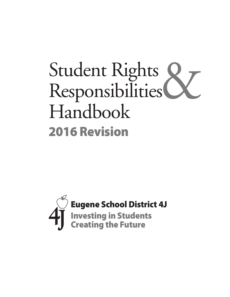# Student Rights<br>Responsibilities Responsibilities Handbook 2016 Revision

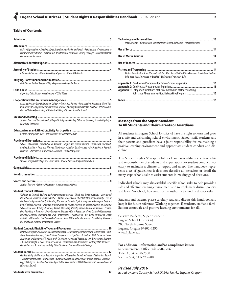## Table of Contents

| Policy • Expectations • Relationship of Attendance to Grades and Credit • Relationship of Attendance to<br>Extracurricular Activities • Relationship of Attendance to Student Driving Privileges • Exemptions from<br>Compulsory Attendance                                                                                                                                                                                                                                                                                                                                                                                                                                                                                                                                                                                                                                                                         |  |
|---------------------------------------------------------------------------------------------------------------------------------------------------------------------------------------------------------------------------------------------------------------------------------------------------------------------------------------------------------------------------------------------------------------------------------------------------------------------------------------------------------------------------------------------------------------------------------------------------------------------------------------------------------------------------------------------------------------------------------------------------------------------------------------------------------------------------------------------------------------------------------------------------------------------|--|
|                                                                                                                                                                                                                                                                                                                                                                                                                                                                                                                                                                                                                                                                                                                                                                                                                                                                                                                     |  |
| Informal Gatherings • Student Meetings • Speakers • Student Walkouts                                                                                                                                                                                                                                                                                                                                                                                                                                                                                                                                                                                                                                                                                                                                                                                                                                                |  |
| Definitions • Student Responsibility • Reports and Complaint Process                                                                                                                                                                                                                                                                                                                                                                                                                                                                                                                                                                                                                                                                                                                                                                                                                                                |  |
| Reporting Child Abuse • Investigations of Child Abuse                                                                                                                                                                                                                                                                                                                                                                                                                                                                                                                                                                                                                                                                                                                                                                                                                                                               |  |
| Investigations by Law Enforcement Officers • Contacting Parents • Investigations Related to Illegal Acts<br>that Occur Off-Campus and Are Not School-Related . Investigations Related to Violations of School Poli-<br>cies and Rules • Questioning of Students • Taking a Student from the School                                                                                                                                                                                                                                                                                                                                                                                                                                                                                                                                                                                                                  |  |
| Student Dress and Grooming · Clothing with Vulgar and Plainly Offensive, Obscene, Sexually Explicit, or<br><b>Illicit Drug References</b>                                                                                                                                                                                                                                                                                                                                                                                                                                                                                                                                                                                                                                                                                                                                                                           |  |
| General Participation Rules • Consequences for Substance Abuse                                                                                                                                                                                                                                                                                                                                                                                                                                                                                                                                                                                                                                                                                                                                                                                                                                                      |  |
| School Publications • Distribution of Materials • Rights and Responsibilities • Commercial and Fund-<br>Raising Activities • Time and Place of Distribution • Student Display Areas • Participation in Patriotic<br>Exercises • Objections to Instructional Materials • Prohibited Speech                                                                                                                                                                                                                                                                                                                                                                                                                                                                                                                                                                                                                           |  |
| Student Religious Meetings and Discussions · Release Time for Religious Instruction                                                                                                                                                                                                                                                                                                                                                                                                                                                                                                                                                                                                                                                                                                                                                                                                                                 |  |
|                                                                                                                                                                                                                                                                                                                                                                                                                                                                                                                                                                                                                                                                                                                                                                                                                                                                                                                     |  |
|                                                                                                                                                                                                                                                                                                                                                                                                                                                                                                                                                                                                                                                                                                                                                                                                                                                                                                                     |  |
| Student Searches • Seizure of Property • Use of Lockers and Desks                                                                                                                                                                                                                                                                                                                                                                                                                                                                                                                                                                                                                                                                                                                                                                                                                                                   |  |
| Violation of District's Bullying and Discrimination Policies • Theft and Stolen Property • Substantial<br>Disruption of School or School Activities • Willful Disobedience of a Staff Member's Authority • Use or<br>Display of Vulgar and Plainly Offensive, Obscene, or Sexually Explicit Language • Damage or Destruc-<br>tion of School Property • Damage or Destruction of Private Property on School Premises or During a<br>School-Sponsored Activity • Coercion, Assault, Menacing, Threats, Intimidation or Harassment • Posses-<br>sion, Handling or Transport of Any Dangerous Weapon • Use or Possession of Any Controlled Substances,<br>Including Alcoholic Beverages and Drug Paraphernalia • Violations of Laws While Involved in School<br>Activities • Misconduct that Occurs Off-Campus • Sexual Misconduct/Indecency • Teen Dating Violence •<br>Use of Tobacco, Nicotine or Inhalation Devices |  |
| Student Conduct: Discipline Types and Procedures  …………………………………………… 10                                                                                                                                                                                                                                                                                                                                                                                                                                                                                                                                                                                                                                                                                                                                                                                                                                              |  |
| Informal Discipline Procedures for Minor Infractions · Formal Discipline Procedures: Suspensions, Expul-<br>sions, Expulsion Hearings, Out-of-School Suspension or Expulsion of Students Fifth Grade or Lower,<br>Suspension or Expulsion of Students with Disabilities • Required Reports to Law Enforcement Agencies<br>• A Student's Right to Hear His or Her Accuser • Complaints and Accusations Made by Staff Members •<br>Complaints and Accusations Made by Other Students · Teacher-Student Privilege                                                                                                                                                                                                                                                                                                                                                                                                      |  |
| Confidentiality of Education Records • Inspection of Education Records • Release of Education Records<br>• Directory Information • Withholding Education Records for Nonpayment of Fees, Fines or Damages •<br>Copy of Policy on Education Records • Right to File a Complaint re FERPA Requirements • Amendment of<br><b>Education Records</b>                                                                                                                                                                                                                                                                                                                                                                                                                                                                                                                                                                     |  |

|--|

| Email Accounts • Unacceptable Uses of District-Owned Technology • Personal Devices                                                                                                                                                                                     |  |
|------------------------------------------------------------------------------------------------------------------------------------------------------------------------------------------------------------------------------------------------------------------------|--|
|                                                                                                                                                                                                                                                                        |  |
|                                                                                                                                                                                                                                                                        |  |
|                                                                                                                                                                                                                                                                        |  |
| Visitors Permitted on School Grounds • Visitors Must Report to the Office • Weapons Prohibited • Students<br>Who Have Been Suspended or Expelled · Violations of Visitation Rules                                                                                      |  |
| Appendix 1: Due Process Procedures for Out-of-School Suspension 15<br><b>Appendix 3:</b> Category IV Violations of the Memorandum of Understanding<br>Category IV violations of the Memorandum of Understanding<br>Substance Abuse Intervention/Networking Program  15 |  |
|                                                                                                                                                                                                                                                                        |  |
|                                                                                                                                                                                                                                                                        |  |

## Message from the Superintendent To All Students and Their Parents or Guardians

All students in Eugene School District 4J have the right to learn and grow in a safe and welcoming school environment. School staff, students and their parents and guardians have a joint responsibility for maintaining a positive learning environment and appropriate student conduct and discipline.

This Student Rights & Responsibilities Handbook addresses certain rights and responsibilities of students and expectations for student conduct necessary to maintain a climate of respect and safety. The handbook represents a set of guidelines; it does not describe all behaviors or detail the many steps schools take to assist students in making good decisions.

Individual schools may also establish specific school rules to help provide a safe and effective learning environment and to implement district policies and laws. No school, however, has the authority to modify district rules.

Students and parents, please carefully read and discuss this handbook and keep it for future reference. Working together, 4J students, staff and families can create safe and positive learning environments for all.

Gustavo Balderas, Superintendent Eugene School District 4J 200 North Monroe Street Eugene, Oregon 97402-4295 www.4j.lane.edu

#### **For additional information and/or compliance issues:**

Superintendent's Office, 541-790-7706 Title IX, 541-790-7550 Section 504, 541-790-7800

## *Revised July 2016*

*Issued by Lane County School District No. 4J, Eugene, Oregon*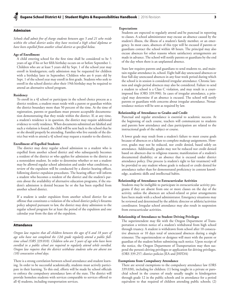## Admission

*Schools shall admit free of charge students between ages 5 and 21 who reside*  within the school district unless they have received a high school diploma or *have been expelled from another school district as specified below.* 

#### **Age of Enrollment**

A child entering school for the first time shall be considered to be 5 years of age if his or her fifth birthday occurs on or before September 1. Children who are at least 5 years old by Sept. 1 of the school year may enroll in kindergarten; early admission may be requested for children with a birthday later in September. Children who are 6 years old by Sept. 1 of the school year may enroll in first grade. Students who seek to enroll in the school district after their 19th birthday may be required to attend an alternative school program.

#### **Residency**

To enroll in a 4J school or participate in the school choice process as a district resident, a student must reside with a parent or guardian within the district boundary more than 50 percent of the time. At the time of registration, parents or guardians must present acceptable documentation demonstrating that they reside within the district. If, at any time, a student's residence is in question, the district may require additional evidence to verify residence. When documents submitted are falsified and such a violation is found, the child will be sent back to the school that he or she should properly be attending. Families who live outside of the district but wish to attend a 4J school may request a transfer to the district.

## **Enrollment of Expelled Students**

The district may deny regular school admission to a student who is expelled from another school district and who subsequently becomes a resident of the district or who applies for admission to the district as a nonresident student. In order to determine whether or not a student may be allowed regular school admission and under what conditions, a review of the expulsion will be conducted by a district hearing officer, following district expulsion procedures. The hearing officer will inform a student who becomes a resident of the district and the student's parents about the availability of alternative education programs, if the student's admission is denied because he or she has been expelled from another school district.

If a student is under expulsion from another school district for an offense that constitutes a violation of the school district policy's firearms policy adopted pursuant to law, the district may deny admission to the regular school program for at least the period of the expulsion and one calendar year from the date of the expulsion.

## **Attendance**

*Oregon law requires that all children between the ages of 6 and 18 years of age who have not completed the 12th grade regularly attend a public fulltime school (ORS 339.010). Children who are 5 years of age who have been enrolled in a public school are required to regularly attend while enrolled. Oregon law requires that the district withdraw students who are absent ten (10) consecutive school days.*

There is a strong correlation between school attendance and student learning. In order to be successful academically, students must actively participate in their learning. To this end, efforts will be made by school officials to enforce the compulsory attendance laws of the state. The district will provide homeless students with services comparable to services offered to all 4J students, including transportation services.

## **Expectations**

Students are expected to regularly attend and be punctual in reporting to classes. A school administrator may excuse an absence caused by the student's illness, the illness of a student's family member, or an emergency. In most cases, absences of this type will be excused if parents or guardians contact the school within 48 hours. The principal may also excuse absences for other reasons where satisfactory arrangements are made in advance. The school will notify parents or guardians by the end of the day when there is an unplanned absence.

State law requires parents and guardians to send students to, and maintain regular attendance in, school. Eight half-day unexcused absences or four full-day unexcused absences in any four-week period during which the school is in session is considered irregular attendance. Chronic lateness and single-period absences may also be considered. Failure to send a student to school is a Class C violation, and may result in a courtimposed fine (ORS 339.990). In cases of irregular attendance, a principal may determine if an absence is excused. The school will notify parents or guardians with concerns about irregular attendance. Nonattendance notices will be sent as required by law.

## **Relationship of Attendance to Grades and Credit**

Punctual and regular attendance is essential to academic success. At the beginning of each course, teachers will communicate to students and parents how attendance and class participation are related to the instructional goals of the subject or course.

A lower grade may result from a student's failure to meet course goals because of absences or a failure to complete makeup assignments. However, grades may not be reduced, nor credit denied, based solely on attendance. Additionally, grades may not be reduced nor credit denied based on absences due to religious reasons; manifestation of a student's documented disability; or an absence that is excused under district attendance policy. Due process (a student's right to fair treatment) will be provided to any student whose grade is reduced or credit denied for attendance rather than for demonstrated proficiency in content knowledge, academic skills and intellectual habits.

## **Relationship of Attendance to Extracurricular Activities**

Students may be ineligible to participate in extracurricular activity programs if they are absent from one or more classes on the day of the activity, unless the absences are school-related or prior arrangements have been made with a school administrator. Emergency situations may be reviewed and determined by the athletic director or athletic/activities coordinator. Irregular school attendance may also result in suspension from extracurricular activities.

## **Relationship of Attendance to Student Driving Privileges**

The superintendent may file with the Oregon Department of Transportation a written notice of a student's withdrawal from high school through truancy. A student is withdrawn from school after 10 consecutive absences or 10 days total of unexcused absences during a single trimester. The superintendent or designee will meet with the parent or guardian of the student before submitting such notice. Upon receipt of the notice, the Oregon Department of Transportation may then suspend the person's driving privileges or application for driving privileges. (ORS 339.257; district policies JEA and JHFDA)

#### **Exemptions from Compulsory Attendance**

There are several exemptions to the compulsory attendance law (ORS 339.030), including for children: (1) being taught in a private or parochial school in the courses of study usually taught in kindergarten through grade 12 in the public schools and in attendance for a period equivalent to that required of children attending public schools; (2)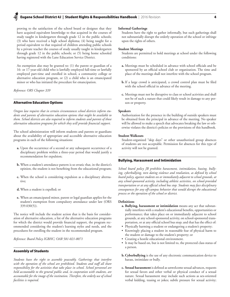## Eugene School District 4J | Student Rights & Responsibilities Handbook | 2016 Revision 4

proving to the satisfaction of the school board or designee that they have acquired equivalent knowledge to that acquired in the courses of study taught in kindergarten through grade 12 in the public schools; (3) who have received a high school diploma; (4) being taught for a period equivalent to that required of children attending public schools by a private teacher the courses of study usually taught in kindergarten through grade 12 in the public schools; or (5) being home schooled having registered with the Lane Education Service District.

An exemption also may be granted to: (1) the parent or guardian of a 16- or 17-year-old child who is lawfully employed full-time or lawfully employed part-time and enrolled in school, a community college or alternative education program, or (2) a child who is an emancipated minor or who has initiated the procedure for emancipation.

*Reference: ORS Chapter 339*

## Alternative Education Options

*Oregon law requires that in certain circumstances school districts inform students and parents of alternative education options that might be available to them. School districts are also required to inform students and parents of those alternative education programs for which they will provide financial support.*

The school administration will inform students and parents or guardians about the availability of appropriate and accessible alternative education programs in each of the following situations:

- **a.** Upon the occurrence of a second or any subsequent occurrence of a disciplinary problem within a three-year period that would justify a recommendation for expulsion;
- **b.** When a student's attendance pattern is so erratic that, in the district's opinion, the student is not benefiting from the educational program;
- **c.** When the school is considering expulsion as a disciplinary alternative;
- **d.** When a student is expelled; or
- **e.** When an emancipated minor, parent or legal guardian applies for the student's exemption from compulsory attendance under law (ORS 339.030(5)).

The notice will include the student action that is the basis for consideration of alternative education, a list of the alternative education programs for which the district would provide financial support, the program recommended considering the student's learning styles and needs, and the procedures for enrolling the student in the recommended program.

*Reference: Board Policy IGBHC; OAR 581-021-0071*

## Assembly of Students

*Students have the right to assemble peaceably. Gatherings that interfere*  with the operation of the school are prohibited. Students and staff all share *responsibility for the activities that take place in school. School personnel are held accountable to the general public and, in cooperation with students, are accountable for the image of the institution. Therefore, the orderly use of school facilities is required.*

## **Informal Gatherings**

Students have the right to gather informally, but such gatherings shall not substantially disrupt the orderly operation of the school or infringe upon the rights of others.

#### **Student Meetings**

Students are permitted to hold meetings at school under the following conditions:

- **a.** Meetings must be scheduled in advance with school officials and be sponsored by an official school club or organization. The time and place of the meetings shall not interfere with the school program.
- **b.** If a large crowd is anticipated, a crowd control plan must be filed with the school official in advance of the meeting.
- **c.** Meetings must not be disruptive to class or school activities and shall not be of such a nature that could likely result in damage to any person or property.

#### **Speakers**

Authorization for the presence in the building of outside speakers must be obtained from the principal in advance of the meeting. No speaker will be allowed to make a speech that advocates breaking the law or otherwise violates the district's policies or the provisions of this handbook.

## **Student Walkouts**

Student-organized "skip days" or other unauthorized group absences of students are not acceptable. Permission for absences for this type of activity will not be granted.

## Bullying, Harassment and Intimidation

*School board policy JB prohibits harassment, intimidation, hazing, bullying, cyberbullying, teen dating violence and retaliation, as defined by school board policy, against students on or immediately adjacent to school grounds, at any school-sponsored activity, including athletic activities, on school-provided transportation or at any official school bus stop. Students may face disciplinary consequences for any off-campus behavior that would disrupt the educational process or the operation of the school or district.* 

## **Definitions**

- **a. Bullying, harassment or intimidation** means any act that substantially interferes with a student's educational benefits, opportunities or performance; that takes place on or immediately adjacent to school grounds, at any school-sponsored activity, on school-sponsored transportation, or at any official school bus stop; and that has the effect of:
- Physically harming a student or endangering a student's property;
- • Knowingly placing a student in reasonable fear of physical harm to the student or damage to the student's property; or
- • Creating a hostile educational environment.
- • It may be based on, but is not limited to, the protected class status of a person.
- **b. Cyberbullying** is the use of any electronic communication device to harass, intimidate or bully.
- **c. Sexual harassment** is defined as unwelcome sexual advances, requests for sexual favors and other verbal or physical conduct of a sexual nature. Sexual harassment may include such actions as sex-oriented verbal kidding, teasing or jokes; subtle pressure for sexual activity;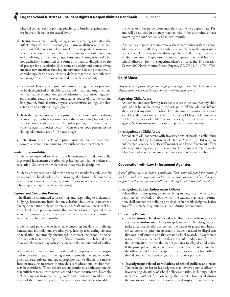physical contact such as patting, pinching, or brushing against another's body; or demands for sexual favors.

- **d. Hazing** means intentionally taking action or creating a situation that inflicts physical harm, psychological harm or distress on a student regardless of the consent or location of the participants. Hazing occurs when the action or situation has the purpose or effect of demeaning or humiliating a student or group of students. Hazing is typically but not exclusively committed as a form of initiation, discipline or rite of passage for a particular club, team or activity and almost always includes new members showing subservience to existing members. In considering a hazing case, it is not a defense that the student subjected to hazing consented to or acquiesced in the hazing activity.
- **e. Protected class** means a group of persons distinguished or perceived to be distinguished by disability, race, color, national origin, ethnicity, sex, sexual orientation, gender identity or expression, age, religion, marital status, socioeconomic status, source of income, cultural background, familial status, physical characteristic, or linguistic characteristics of a national origin group.
- **f. Teen dating violence** means a pattern of behavior, within a dating relationship, in which a person uses or threatens to use physical, mental or emotional abuse to control another person, or threatens sexual violence against another person, when one or both persons in the dating relationship are 13–19 years of age.
- **g. Retaliation** means acts of reprisal, intimidation, or harassment toward a person in response to previously reported harassment.

#### **Student Responsibility**

Students are expected to refrain from harassment, intimidation, bullying; sexual harassment; cyberbullying; hazing; teen dating violence; or retaliation. Students who violate these rules may be disciplined.

Students are expected to hold their peers to the standards established by policy and this handbook, and are encouraged to bring violations to the attention of a teacher, counselor, administrator or other staff member. These reports may be made anonymously.

#### **Reports and Complaint Process**

The district is committed to preventing and responding to incidents of bullying, harassment, intimidation, cyberbullying, sexual harassment, hazing, teen dating violence or retaliation. Staff and volunteers will follow school board policy requiring that such incidents be reported to the school administrator, or to the superintendent where the administrator is believed to have been involved.

Students and parents who have experienced an incident of bullying, harassment, intimidation, cyberbullying, hazing, teen dating violence or retaliation are strongly encouraged to contact the school principal or other staff member to report it. If the administrator is believed to be involved, the report may instead be made to the superintendent's office.

Administration will respond quickly and appropriately to investigate and resolve such reports, making effort to provide the student with a practical, safe, private and age-appropriate way to discuss the matter. Interim measures necessary to provide a safe educational environment may be considered. When reports are substantiated, administration will take sufficient measures to remediate and prevent recurrences. Examples include: Support from counseling and/or administration to address the needs of the victim; support, interventions or consequences to address

the behavior of the perpetrator; and safety plans where appropriate. Parents will be notified in a timely manner, within the constraints of laws governing the confidentiality of student records.

If students and parents cannot resolve the issue working with the school administrator or staff, they may submit a complaint to the superintendent's office. The form, and the district publication Bullying, harassment & discrimination: Step-by-step complaint process, is available from school offices or from the superintendent's office at the 4J Education Center, 200 North Monroe Street, Eugene, OR 97402, 541-790-7706.

## Child Abuse

*Oregon law requires all public employees to report possible child abuse to Department of Human Services or a law enforcement agency.*

#### **Reporting Child Abuse**

Any school employee having reasonable cause to believe that any child with whom he or she comes in contact, on or off the job, has suffered abuse, or that any adult with whom he or she comes in contact has abused a child, shall report immediately to the State of Oregon's Department of Human Services – Child Protective Services, or to a law enforcement agency. Staff members may not inform parents of such reports.

## **Investigations of Child Abuse**

School staff will cooperate with investigations of possible child abuse being conducted by Department of Human Services (DHS) or a law enforcement agency. A DHS staff member or a law enforcement officer who is questioning a student in regard to child abuse will determine if a school official may be present in an interview that occurs at school.

## Cooperation with Law Enforcement Agencies

*School officials have a dual responsibility. They must safeguard the rights of students, and even represent students in certain situations. They also must cooperate with law enforcement officers in the legitimate pursuit of their duties.*

## **Investigations by Law Enforcement Officers**

Police officers investigating a case involving an illegal act in which a student may be involved, or about which the student may have information, shall contact the building principal, or her or his designee, before any effort is made to question a student during school hours.

#### **Contacting Parents**

- **a. Investigations related to illegal acts that occur off-campus and are not school-related:** The principal, or her or his designee, will make a reasonable effort to contact the parent or guardian when an officer comes to question or arrest a student related to illegal acts that occur off-campus and that are not school-related, unless there is reason to believe that such notification would unduly interfere with the investigation or that the matter pertains to alleged child abuse. If the principal or designee is unable to reach the parent or guardian the officer should not be delayed further. However, a school official should contact the parent or guardian as soon as possible.
- **b. Investigations related to violations of school policies and rules:**  The principal, or her or his designee, may involve a police officer in investigating violations of school policies and rules, including student interviews, without first contacting the parent. However, if during the investigation a student becomes a focal suspect to an illegal act,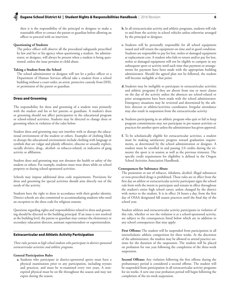then it is the responsibility of the principal or designee to make a reasonable effort to contact the parent or guardian before allowing an officer to proceed with an interview.

#### **Questioning of Students**

The police officer will observe all the procedural safeguards prescribed by law and her or his agency when questioning a student. An administrator, or designee, will always be present when a student is being questioned, unless the issue pertains to child abuse.

#### **Taking a Student from the School**

The school administrator or designee will not let a police officer or a Department of Human Services official take a student from a school building without a court order, an arrest, protective custody from DHS, or permission of the parent or guardian.

## Dress and Grooming

The responsibility for dress and grooming of a student rests primarily with the student and his or her parents or guardians. A student's dress or grooming should not affect participation in the educational program or school-related activities. Students may be directed to change dress or grooming when in violation of the rules below.

Student dress and grooming may not interfere with or disrupt the educational environment of the student or others. Examples of clothing likely to disrupt the educational environment include clothing with language or symbols that are vulgar and plainly offensive, obscene or sexually explicit, racially divisive, drug-, alcohol- or tobacco-related, or indicative of gang activity or affiliation.

Student dress and grooming may not threaten the health or safety of the student or others. For example, students must wear shoes while on school property or during school-sponsored activities.

Schools may impose additional dress code requirements. Provisions for dress and grooming for special activities should arise directly out of the needs of the activity.

Students have the right to dress in accordance with their gender identity. District schools are also committed to accommodating students who need an exception to the dress code for religious reasons.

Questions regarding rights and responsibilities related to dress and grooming should be directed to the building principal. If an issue is not resolved at the building level, the parent or guardian may contact the elementary or secondary education director, assistant superintendent or superintendent.

## Extracurricular and Athletic Activity Participation

*These rules pertain to high school students who participate in district-sponsored extracurricular activities and athletic programs.*

## **General Participation Rules**

**a.** Students who participate in district-sponsored sports must have a physical examination prior to any participation, including tryouts and practices, and must be re-examined every two years. A nonexpired physical must be on file throughout the season and may not expire during the season.

- **b.** In all extracurricular activity and athletic programs, students will ride to and from the activity in school vehicles unless otherwise arranged by the principal or designee.
- **c.** Students will be personally responsible for all school equipment issued and will return the equipment on time and in good condition. Students are responsible to pay for lost, stolen or damaged equipment at replacement cost. A student who fails to return and/or pay for lost, stolen or damaged equipment will not be eligible to compete in any subsequent sport or activity until such time that payment or arrangements for payment have been made with the appropriate building administrator. Should the agreed plan not be followed, the student will become ineligible at that point.
- **d.** Students may be ineligible to participate in extracurricular activities and athletic programs if they are absent from one or more classes on the day of the activity unless the absences are school-related or prior arrangements have been made with the school administrator. Emergency situations may be reviewed and determined by the athletic director or athletic/activities coordinator. Irregular attendance may also result in suspension from the extracurricular activity.
- **e.** Students participating in an athletic program who quit or fail to keep program commitments may not participate in pre-season activities or practices for another sport unless the administrator has given approval.
- **f.** To be scholastically eligible for extracurricular activities, a student must be making satisfactory progress toward graduation requirements, as determined by the school administration or designee. A student must be enrolled in and passing 2.0 credits during the trimester the sport is in session as well as the previous trimester. The specific credit requirement for eligibility is defined in the Oregon School Activities Association Handbook.

## **Consequences for Substance Abuse**

The possession or use of tobacco, inhalants, alcohol, illegal substances or non-prescribed drugs is prohibited. These rules are in effect from the first day an athlete or extracurricular activity participant signs the school rule form with the intent to participate and remain in effect throughout the student's entire high school career, unless changed by the district with notice to the student. It is in effect 24 hours a day, from the first day of OSAA designated fall season practices until the final day of the school year.

Student athletes and extracurricular activity participants in violation of this rule, whether or not the violation is at a school-sponsored activity, are subject to the consequences listed below which are in addition to any school consequences that may apply:

**First Offense:** The student will be suspended from participation in all interscholastic athletic competition for three weeks. At the discretion of the administrator, the student may be allowed to attend practice sessions for the duration of the suspension. The student will be placed on probation for one year following the completion of the three-week suspension.

**Second Offense:** Any violation following the first offense during the probationary period is considered a second offense. The student will be suspended from participation in all extracurricular activity programs for six weeks. A new one-year probation period will begin following the completion of the six-week suspension.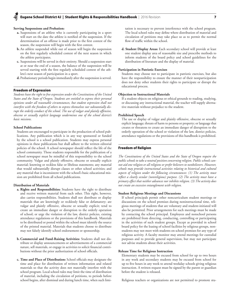## **Serving Suspensions and Probation:**

- **a.** Suspensions of an athlete who is currently participating in a sport will start on the date the athlete is notified of the suspension. If the determination of an offense is made prior to the first contest of the season, the suspension will begin with the first contest.
- **b.** An athlete suspended while out of season will begin the suspension on the first regularly scheduled contest of the next season in which the athlete participates.
- **c.** Suspensions will be served in their entirety. Should a suspension start at or near the end of a season, the balance of the suspension will be served starting with the first regularly scheduled contest of the athlete's next season of participation in a sport.
- **d.** Probationary periods begin immediately after the suspension is served.

## Freedom of Expression

*Students have the right to free expression under the Constitutions of the United States and the State of Oregon. Students are entitled to express their personal opinions under all reasonable circumstances, but student expression shall not interfere with the freedom of others to express themselves nor substantially disrupt the orderly conduct of the school. The use of vulgar and plainly offensive, obscene or sexually explicit language undermines one of the school district's basic missions.* 

## **School Publications**

Students are encouraged to participate in the production of school publications. Any publication which is in any way sponsored or funded by the school is a school publication. Students may express personal opinions in these publications but shall adhere to the written editorial policies of the school. A school newspaper should reflect the life of the school community. Those students responsible for the publication of a school newspaper must be mindful of this responsibility to the school community. Vulgar and plainly offensive, obscene or sexually explicit material; knowing or reckless false or libelous statements; any material that would substantially disrupt classes or other school activities; and any material that is inconsistent with the school's basic educational mission are prohibited from all school publications.

#### **Distribution of Materials**

- **a. Rights and Responsibilities:** Students have the right to distribute and receive written material from each other. This right, however, also carries responsibilities. Students shall not distribute or display materials that are knowingly or recklessly false or defamatory; are vulgar and plainly offensive, obscene or sexually explicit; tend to create an immediate danger or disruption to the orderly operation of school; or urge the violation of the law, district policies, existing attendance regulations or the provisions of this handbook. Materials to be distributed or posted within the school must identify the source of the printed material. Materials that students choose to distribute may not falsely identify school endorsement or sponsorship.
- **b. Commercial and Fund-Raising Activities:** Students shall not distribute or display announcements or advertisements of a commercial nature, sell materials, or engage in activities to solicit financial contributions without the prior authorization of school officials.
- **c. Time and Place of Distribution:** School officials may designate the time and place for distribution of written information and related materials so that the activity does not materially interfere with the school program. Local school rules may limit the time of distribution of material, including the circulation of petitions, to periods before school begins, after dismissal and during lunch time, when such limi-

tation is necessary to prevent interference with the school program. The local school rules may define where distribution of material and circulation of petitions may take place so as to permit the normal flow of traffic within the school.

**d. Student Display Areas:** Each secondary school will provide at least one student display area of reasonable size and prescribe methods to inform students of the board policy and school guidelines for the distribution of literature and the display of material.

## **Participation in Patriotic Exercises**

Students may choose not to participate in patriotic exercises, but also have the responsibility to ensure the manner of their nonparticipation does not deny other students their rights to participate or disrupt the educational process.

#### **Objection to Instructional Materials**

If a student objects on religious or ethical grounds to reading, studying, or discussing any instructional material, the teacher will supply alternative materials without prejudice to the student.

## **Prohibited Speech**

The use or display of vulgar and plainly offensive, obscene or sexually explicit language; threats of harm to persons or property; or language that creates or threatens to create an immediate danger of disruption to the orderly operation of the school or violation of the law, district policies, attendance regulations or the provisions of this handbook is prohibited.

## Freedom of Religion

*The Constitutions of the United States and the State of Oregon require the public schools to take a neutral position concerning religion. Public schools cannot aid one religion or all religions or prefer believers to nonbelievers. However, schools may provide instructional activities relating to historical and cultural aspects of religion under the following circumstances: (1) The activity must reflect a clearly secular (nonreligious) purpose. (2) The activity must have a primary effect that neither advances nor inhibits religion. (3) The activity does not create an excessive entanglement with religion.*

#### **Student Religious Meetings and Discussions**

If school principals permit other noncurriculum student meetings or discussions on the school premises during noninstructional time, religious meetings of students that are voluntary and student-initiated will also be permitted. Prior arrangements for such meetings must be made by contacting the school principal. Employees and nonschool persons are prohibited from directing, conducting, controlling or participating in the activities of such student groups. Except as provided in school board policy for the leasing of school facilities by religious groups, nonstudents may not meet with students on school premises for any type of religious activity. A faculty monitor may attend meetings for custodial purposes and to provide general supervision, but may not participate nor advise students about their activities.

## **Release Time for Religious Instruction**

Elementary students may be excused from school for up to two hours in any week and secondary students may be excused from school for up to five hours in any week to attend weekday schools giving religious instruction. A written request must be signed by the parent or guardian before the student is released.

Religious teachers or organizations are not permitted to promote stu-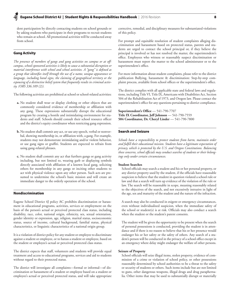dent participation by directly contacting students on school grounds or by asking students who participate in their programs to recruit students who remain at school. All promotional activities will be conducted away from school.

## Gang Activity

*The presence of members of gangs and gang activities on campus or at offcampus, school-sponsored activities is likely to cause a substantial disruption or material interference with school and school activities. A "gang" is defined as a group that identifies itself through the use of a name, unique appearance or language, including hand signs, the claiming of geographical territory or the espousing of a distinctive belief system that frequently results in criminal activity. (ORS 336.109 (2)).* 

The following activities are prohibited at school or school-related activities:

- **a.** No student shall wear or display clothing or other objects that are commonly considered evidence of membership or affiliation with any gang. These expressions substantially disrupt the educational program by creating a hostile and intimidating environment for students and staff. Schools should consult their school resource officer and the district's equity coordinator when restricting gang expression.
- **b.** No student shall commit any act, or use any speech, verbal or nonverbal, showing membership in, or affiliation with, a gang. For example, students may not demonstrate intimidating and/or violent behavior, or use gang signs or graffiti. Students are expected to refrain from using gang-related phrases.
- **c.** No student shall commit any act that furthers gangs or gang activity including, but not limited to, wearing garb or displaying symbols directly associated with affiliation of a known local gang, soliciting others for membership in any gangs or inciting other students to act with physical violence upon any other person. Such acts are presumed to undermine the school's basic mission and will create an immediate danger to the orderly operation of the school.

## Nondiscrimination

Eugene School District 4J policy AC prohibits discrimination or harassment in educational programs, activities, services or employment on the basis of the person's actual or perceived protected class status, including disability, race, color, national origin, ethnicity, sex, sexual orientation, gender identity or expression, age, religion, marital status, socioeconomic status, source of income, cultural background, familial status, physical characteristics, or linguistic characteristics of a national origin group.

It is a violation of district policy for any student or employee to discriminate against a student or employee, or to harass a student or employee, based on the student or employee's actual or perceived protected class status.

The district expects that staff, volunteers and students will provide equal treatment and access to educational programs, services and aid to students without regard to their protected status.

The district will investigate all complaints—formal or informal—of discrimination or harassment of a student or employee based on a student or employee's actual or perceived protected status, and will take appropriate corrective, remedial, and disciplinary measures for substantiated violations of this policy.

For prompt and equitable resolution of student complaints alleging discrimination and harassment based on protected status, parents and students are urged to contact the school principal or, if they believe the principal is involved or has not resolved the matter, the superintendent's office. Employees who witness or reasonably suspect discrimination or harassment must report the matter to the school administrator or to the superintendent's office.

For more information about student complaints, please refer to the district publication Bullying, harassment & discrimination: Step-by-step complaint process, available from school offices or the superintendent's office.

The district complies with all applicable state and federal laws and regulations, including Title VI, Title IX, Americans with Disabilities Act, Section 504 of the Rehabilitation Act of 1973, and Oregon law. Please contact the superintendent's office for any questions pertaining to district compliance.

**Superintendent's Office** — 541-790-7707 **Title IX Coordinator, Jeff Johnson** — 541-790-7559 **504 Coordinator, Dr. Cheryl Linder** — 541-790-7800

## Search and Seizure

*Schools have a responsibility to protect students from harm, maintain order and fulfill their educational mission. Students have a legitimate expectation of privacy, which is protected by the U.S. and Oregon Constitutions. Balancing these concerns, school officials may conduct searches of students or their belongings only under certain circumstances.*

## **Student Searches**

School officials may search a student and his or her personal property, or any district property used by the student, if the officials have reasonable suspicion to believe that the student in question violated a school rule or law and that a search will turn up evidence of the violation of the rule or law. The search will be reasonable in scope, meaning reasonably related to the objectives of the search, and not excessively intrusive in light of the age, sex and maturity of the student and the nature of the infraction.

A search may also be conducted in exigent or emergency circumstances, even without individualized suspicion, when the immediate safety of the school or student(s) is at risk. Officials may also conduct a search when the student or the student's parent consents.

The student will be given the opportunity to be present when the search of personal possessions is conducted, providing the student is in attendance and if there is no reason to believe that his or her presence would endanger his or her safety or the safety of others. Any search of a student's person will be conducted in the privacy of a school office except in an emergency where delay might endanger the welfare of other persons.

## **Seizure of Property**

School officials will seize illegal items, stolen property, evidence of commission of a crime or violation of school policy, or other possessions reasonably determined by school authorities to be a threat to the safety or security of students or others. Such items include but are not limited to guns, other dangerous weapons, illegal drugs and drug paraphernalia. Other items that may be used to substantially disrupt or materially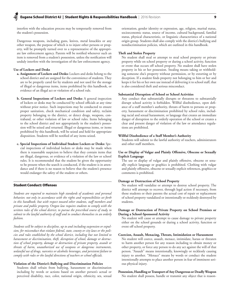interfere with the education process may be temporarily removed from the student's possession.

Dangerous weapons, including guns, knives, metal knuckles or any other weapon, the purpose of which is to injure other persons or property, will be promptly turned over to a representative of the appropriate law enforcement agency. Parents will be notified whenever such an item is removed from a student's possession, unless the notification will unduly interfere with the investigation of the law enforcement agency.

## **Use of Lockers and Desks**

- **a. Assignment of Lockers and Desks:** Lockers and desks belong to the school district and are assigned for the convenience of students. They are to be properly cared for by students and not used for the storage of illegal or dangerous items, items prohibited by this handbook, or evidence of an illegal act or violation of a school rule.
- **b. General Inspections of Lockers and Desks:** A general inspection of lockers or desks may be conducted by school officials at any time without prior notice. Such inspections may be conducted to ensure proper sanitation, check mechanical condition and safety, reclaim property belonging to the district, or detect drugs, weapons, contraband, or other violation of law or school rules. Items belonging to the school district and not appropriately in the student's possession will be seized and returned. Illegal or dangerous items, or items prohibited by this handbook, will be seized and held for appropriate disposition. Students will be notified of any items seized.
- **c. Special Inspections of Individual Student Lockers or Desks:** Special inspections of individual lockers or desks may be made when there is reasonable suspicion to believe that they contain items that are illegal, dangerous, or evidence of a violation of the law or school rules. It is recommended that the student be given the opportunity to be present when the search is conducted, if the student is in attendance and if there is no reason to believe that the student's presence would endanger the safety of the student or others.

## Student Conduct: Offenses

*Students are required to maintain high standards of academic and personal behavior, not only in accordance with the rights and responsibilities set forth in this handbook, but with respect toward other students, staff members and private and public property. Oregon law requires students to comply with the written rules of the school district, to pursue the prescribed course of study, to submit to the lawful authority of staff and to conduct themselves in an orderly fashion.* 

*Students will be subject to discipline, up to and including suspension or expulsion, for misconduct that violates federal, state, county or city laws or the policies and rules established by the school district, including but not limited to harassment or discrimination, theft, disruption of school, damage or destruction of school property, damage or destruction of private property, assault or threats of harm, unauthorized use of weapons or dangerous instruments, unlawful use of drugs, narcotics or alcoholic beverages, and persistent failure to comply with rules or the lawful directions of teachers or school officials.*

## **Violation of the District's Bullying and Discrimination Policies**

Students shall refrain from bullying, harassment or discrimination including by words or actions based on another person's actual or perceived disability, race, color, national origin, ethnicity, sex, sexual orientation, gender identity or expression, age, religion, marital status, socioeconomic status, source of income, cultural background, familial status, physical characteristic, or linguistic characteristics of a national origin group. Students shall also comply with the district's bullying and nondiscrimination policies, which are outlined in this handbook.

## **Theft and Stolen Property**

No student shall steal or attempt to steal school property or private property while on school property or during a school activity, function or event that occurs off school property. No student shall have stolen property in his or her possession. Stealing means taking or withholding someone else's property without permission, or by extorting or by deception. If a student finds property not belonging to him or her and keeps it for his or her own use instead of delivering it to school staff, that is also considered theft and serious misconduct.

## **Substantial Disruption of School or School Activities**

Any conduct that substantially disrupts or threatens to substantially disrupt school activity is forbidden. Willful disobedience, open defiance of a staff member's authority, threats of harm to persons or property, harassment or discrimination prohibited by school rules, including racial and sexual harassment, or language that creates an immediate danger of disruption to the orderly operation of the school or creates a clear and present danger of violation of the law or attendance regulations are prohibited.

#### **Willful Disobedience of a Staff Member's Authority**

Students will submit to the lawful authority of teachers, administrators and other staff members.

## **Use or Display of Vulgar and Plainly Offensive, Obscene or Sexually Explicit Language**

The use or display of vulgar and plainly offensive, obscene or sexually explicit language or graphics is prohibited. Clothing with vulgar and plainly offensive, obscene or sexually explicit references, graphics or comments is prohibited.

## **Damage or Destruction of School Property**

No student will vandalize or attempt to destroy school property. The district will attempt to recover, through legal action if necessary, from those students or their parents the actual cost of repair or replacement of school property vandalized or intentionally or recklessly destroyed by students.

## **Damage or Destruction of Private Property on School Premises or During a School-Sponsored Activity**

No student will cause or attempt to cause damage to private property either on the school grounds or during a school activity, function or event off school property.

## **Coercion, Assault, Menacing, Threats, Intimidation or Harassment**

No student will coerce, assault, menace, intimidate, harass or threaten to harm another person for any reason including to obtain money or other property, or force any person to do any act against the will of that person. "Assault" means intentionally, knowingly or recklessly causing injury to another. "Menace" means by words or conduct the student intentionally attempts to place another person in fear of imminent serious physical injury.

## **Possession, Handling or Transport of Any Dangerous or Deadly Weapon**

No student shall possess, handle or transmit any object that is reason-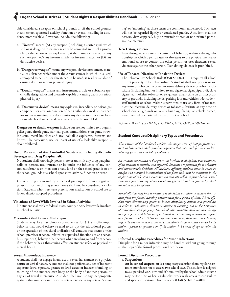ably considered a weapon on school grounds or off the school grounds at any school-sponsored activity, function or event, including in a student's motor vehicle. A weapon includes the following:

- **a. "Firearm"** means (A) any weapon (including a starter gun) which will or is designed to or may readily be converted to expel a projectile by the action of an explosive; (B) the frame or receiver of any such weapon; (C) any firearm muffler or firearm silencer; or (D) any destructive device.
- **b. "Dangerous weapon"** means any weapon, device instrument, material or substance which under the circumstances in which it is used, attempted to be used, or threatened to be used, is readily capable of causing death or serious physical injury.
- **c. "Deadly weapon"** means any instrument, article or substance specifically designed for and presently capable of causing death or serious physical injury.
- **d. "Destructive device"** means any explosive, incendiary or poison gas component or any combination of parts either designed or intended for use in converting any device into any destructive device or form from which a destructive device may be readily assembled.

**Dangerous or deadly weapons** include but are not limited to BB guns, pellet guns, airsoft guns, paintball guns, ammunition, stun guns, throwing stars, metal knuckles and any look-alike explosives, firearms and knives. The possession, use, or threat of use of a look-alike weapon is also prohibited.

## **Use or Possession of Any Controlled Substances, Including Alcoholic Beverages and Drug Paraphernalia**

No student shall knowingly possess, use or transmit any drug paraphernalia or possess, use, transmit or be under the influence of any controlled substance or intoxicant of any kind on the school grounds or off the school grounds at a school-sponsored activity, function or event.

Use of a drug authorized by a medical prescription from a registered physician for use during school hours shall not be considered a violation. Students who must take prescription medication at school are to follow district adopted procedures.

#### **Violations of Laws While Involved in School Activities**

No student shall violate federal, state, county or city laws while involved in school activities.

## **Misconduct that Occurs Off-Campus**

Students may face disciplinary consequences for (1) any off-campus behavior that would otherwise tend to disrupt the educational process or the operation of the school or district; (2) conduct that occurs off the school premises at school-related or supervised functions or at a school bus stop; or (3) behavior that occurs while traveling to and from school if the behavior has a threatening effect on student safety or physical or mental health.

## **Sexual Misconduct/Indecency**

A student shall not engage in any act of sexual harassment of a physical nature or verbal nature. A student shall not perform any act of indecent exposure, lewd exposure, gesture or lewd caress or indecent fondling or touching of the student's own body or the body of another person, or any act of sexual intercourse. A student shall not use any inappropriate gestures that mimic or imply sexual acts or engage in any acts of "streak-

ing" or "mooning" as those terms are commonly understood. Such acts will not be regarded lightly or considered pranks. A student shall not possess, view, copy, sell, buy or transmit printed or non-printed pornographic materials.

## **Teen Dating Violence**

Teen dating violence means a pattern of behavior, within a dating relationship, in which a person uses or threatens to use physical, mental or emotional abuse to control the other person, or uses threatens sexual violence against the other person. Teen dating violence is prohibited.

## **Use of Tobacco, Nicotine or Inhalation Devices**

The Tobacco Free Schools Rule (OAR 581-021-011) requires all school district property to be tobacco-free. A student shall not possess or use any form of tobacco, nicotine, nicotine delivery device or tobacco substitute (including but not limited to any cigarette, cigar, pipe, bidi, clove cigarette, smokeless tobacco, or e-cigarette) at any time on district property or grounds, including fields, parking lots and vehicles. No student, staff member or school visitor is permitted to use any form of tobacco, nicotine, nicotine delivery device or tobacco substitute at any time on school district grounds or in any building, facility or vehicle owned, leased, rented or chartered by the district or school.

*Reference: Board Policy JFCG, JFCH/JFCI, GBK; OAR 581-021-0110*

## Student Conduct: Disciplinary Types and Procedures

*This portion of the handbook explains the major areas of inappropriate conduct and the accountability and consequences that may result for those students who engage in rule and policy violations.* 

*All students are entitled to due process as it relates to discipline. Fair treatment of all students is essential and expected. Students are protected from arbitrary and unreasonable decisions. All decisions affecting students must be based on careful and reasoned investigations of the facts and must be consistent in the application of rules and regulations. All students will be informed of the school rules and procedures by which schools are governed and the process by which discipline will be applied.* 

*School officials may find it necessary to discipline a student or remove the student from the formal learning environment for a period of time. School officials have discretionary power to invoke disciplinary actions and procedures in order to maintain a climate conducive to learning and to the protection of individuals and property. The school administrators shall consider the age and past pattern of behavior of a student in determining whether to suspend or expel that student. Before an expulsion can occur, there must be a hearing before the superintendent or the superintendent's designee unless waived by the student's parent or guardian or, if the student is 18 years of age or older, the student.* 

## **Informal Discipline Procedures for Minor Infractions**

Discipline for a minor infraction may be handled without going through all the steps of the formal process outlined below.

## **Formal Discipline Procedures:**

## **a. Suspensions**

**An in-school suspension** is a temporary exclusion from regular classroom attendance not to exceed two school days. The student is assigned to a supervised work area and, if permitted by the school administrator, may perform his or her regular class work with access to curriculum and special education related services (OAR 581-015-2400).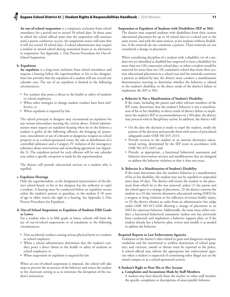**An out-of-school suspension** is a temporary exclusion from school attendance for a period not to exceed 10 school days. In those cases in which the school official states that the suspension will continue until a parent conference occurs, the suspension notice will state that it will not exceed 10 school days. A school administrator may require a student to attend school during nonschool hours as an alternative to suspension. See Appendix 1, Due Process Procedures for Out-of-School Suspension.

## **b. Expulsions**

**An expulsion** is a long-term exclusion from school attendance and requires a hearing before the superintendent or his or her designee. State law provides that the expulsion of a student will not exceed one calendar year. The use of an expulsion is limited to the following circumstances:

- For conduct that poses a threat to the health or safety of students or school employees;
- When other strategies to change student conduct have been ineffective; or
- • When expulsion is required by law.

The school principal or designee may recommend an expulsion for any serious misconduct meeting the criteria above. School administration must request an expulsion hearing when he or she believes a student is guilty of the following offenses: the bringing of, possession, concealment or use of a firearm or dangerous weapon on school property or at a school-sponsored event; the sale or distribution of a controlled substance and a Category IV violation of the interagency substance abuse intervention and networking agreement (see Appendix 3). The expulsion period for such offenses will be one calendar year unless a specific exception is made by the superintendent.

The district will provide educational services to a student who is expelled.

#### **c. Expulsion Hearings**

Only the superintendent, as the designated representative of the district school board, or his or her designee has the authority to expel a student. A hearing must be conducted before an expulsion occurs unless the student's parents or guardian, or the student if 18 years of age or older, waives the right to a hearing. See Appendix 2, Due Process Procedures for Expulsion.

## **d. Out-of-School Suspension or Expulsion of Students Fifth Grade or Lower**

For a student who is in fifth grade or lower, schools will limit the use of out-of-school suspensions or of expulsions to the following circumstances:

- • Non-accidental conduct causing serious physical harm to a student or school employee;
- • When a school administrator determines that the student's conduct poses a direct threat to the health or safety of students or school employees; or
- When suspension or expulsion is required by law.

When an out-of-school suspension is imposed, the school will take steps to prevent the recurrence of the behavior and return the student to the classroom setting so as to minimize the disruption of the student's instruction.

## **Suspension or Expulsion of Students with Disabilities (IEP or 504)**

The district may suspend students with disabilities from their current educational placement for up to 10 school days in a school year to the same extent, and with the same notices, as for students without disabilities, if the removals do not constitute a pattern. These removals are not considered a change in placement.

When considering discipline of a student with a disability (or of a student not yet identified as disabled but suspected to have a disability) for more than ten (10) consecutive school days, or when a student would be removed for more than ten (10) cumulative school days from their current educational placement in a school year and the removals constitute a pattern as defined by law, the district must conduct a manifestation determination meeting to determine whether the behavior is related to the student's disability, or the direct result of the district's failure to implement the IEP or 504.

#### **a. Behavior Is Not a Manifestation of Student's Disability**

If the team, including the parent and other relevant members of the IEP team, determines that the student's behavior is not a manifestation of his or her disability or direct result of district failure to implement the student's IEP or accommodations on a 504 plan, the district may proceed with its disciplinary action. In addition, the district will:

- On the date the decision is made to expel the student, notify the parents of the decision and provide them with notice of procedural safeguards under OAR 581-015-2415;
- • Provide services to the student in an interim alternative educational setting, determined by the IEP team in accordance with OAR 581-015-2445; and
- • Provide, as appropriate, a functional behavioral assessment and behavior intervention services and modifications that are designed to address the behavior violation so that it does not recur.

## **b. Behavior Is a Manifestation of Student's Disability**

If the team determines that the student's behavior is a manifestation of his or her disability, the student may not be expelled or suspended more than 10 days. The district will return the student to the placement from which he or she was removed, unless (1) the parent and the school agree to a change of placement, (2) the district removes the student to a 45-day interim alternative educational setting (IAES) for a weapon or drug violation or for infliction of serious bodily injury, or (3) the district obtains an order from an administrative law judge under OAR 581-015-2430 allowing a change of placement to an IAES for injurious behavior. Additionally, the team must either conduct a functional behavioral assessment (unless one has previously been conducted) and implement a behavior support plan; or if the student already has a behavior plan, review and modify it as needed to address the behavior.

## **Required Reports to Law Enforcement Agencies**

Violations of the district's rules related to guns and dangerous weapons; vandalism and the intentional or reckless destruction of school property; and coercion, assault or threats must be reported to the police. A school official may inform the appropriate law enforcement agencies when a student is suspected of committing other illegal acts on the school campus or at a school-sponsored activity.

## **A Student's Right to Hear His or Her Accuser**

**a. Complaints and Accusations Made by Staff Members** A student may hear directly from the teacher or other staff member the specific complaints or descriptions of unacceptable behavior.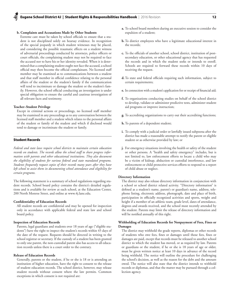## **b. Complaints and Accusations Made by Other Students**

Extreme care must be taken by school officials to ensure that a student is not disciplined solely on hearsay evidence. In recognition of the special jeopardy in which student witnesses may be placed, and considering the possible traumatic effects on a student witness of adversarial proceedings conducted by attorneys, police officers or court officials, the complaining student may not be required to face the accused nor to have his or her identity revealed. When it is determined that a complaining student ought not face the accused, a school official may then become the official complainant. No licensed staff member may be examined as to communications between a student and that staff member in official confidence relating to the personal affairs of the student or the student's family if the communication will tend to incriminate or damage the student or the student's family. However, the school official conducting an investigation is under special obligation to ensure the careful and cautious investigation of all relevant facts and testimony.

## **Teacher–Student Privilege**

Except in criminal actions or proceedings, no licensed staff member may be examined in any proceedings as to any conversation between the licensed staff member and a student which relates to the personal affairs of the student or family of the student and which if disclosed would tend to damage or incriminate the student or family.

## Student Records

*Federal and state laws require school districts to maintain certain education records on students. The records allow the school staff to share progress information with parents and other educational institutions. They also document the eligibility of students for various federal and state mandated programs. Students frequently request copies of their records many years after they have left school to assist them in documenting school attendance and eligibility for certain programs.* 

The following statement is a summary of school regulations regarding student records. School board policy contains the district's detailed regulations and is available for review at each school, at the Education Center, 200 North Monroe Street, and online at www.4j.lane.edu.

## **Confidentiality of Education Records**

All student records are confidential and may be opened for inspection only in accordance with applicable federal and state law and school board policy.

#### **Inspection of Education Records**

Parents, legal guardians and students over 18 years of age ("eligible students") have the right to inspect the student's records within 45 days of the date of the request. Requests should be directed in writing to the school registrar or secretary. If the custody of a student has been granted to only one parent, the non-custodial parent also has access to all education records unless there is a court order to the contrary.

## **Release of Education Records**

Generally, parents or the student, if he or she is 18 or is attending an institution of higher education, have the right to consent to the release of student education records. The school district, however, may release student records without consent where the law permits. Common exceptions in which consent is not required are:

- **a.** To school board members during an executive session to consider the expulsion of a student;
- **b.** To district employees who have a legitimate educational interest in the records;
- **c.** To the officials of another school, school district, institution of postsecondary education, or other educational agency that has requested the records and in which the student seeks or intends to enroll. Schools are required to forward these records within 10 days of receiving the request.
- **d.** To state and federal officials requiring such information, subject to certain requirements;
- **e.** In connection with a student's application for or receipt of financial aid;
- **f.** To organizations conducting studies on behalf of the school district to develop, validate or administer predictive tests, administer student aid programs or improve instruction;
- **g.** To accrediting organizations to carry out their accrediting functions;
- **h.** To parents of a dependent student;
- **i.** To comply with a judicial order or lawfully issued subpoena after the district has made a reasonable attempt to notify the parent or eligible student or as otherwise provided by law; or
- **j.** For emergency situations involving the health or safety of the student or other persons. A "health and safety emergency" includes, but is not limited to, law enforcement efforts to locate a child who may be a victim of kidnap, abduction or custodial interference, and law enforcement or child protective services efforts to respond to a report of child abuse or neglect.

#### **Directory Information**

The district may also release directory information in conjunction with a school or school district related activity. "Directory information" is defined as a student's name, parent's or guardian's name, address, telephone listing, electronic address, photograph, date and place of birth, participation in officially recognized activities and sports, weight and height if a member of an athletic team, grade level, dates of attendance, degrees and awards received, and the school most recently attended by the student. Parents may limit the release of directory information and will be notified annually of this right.

## **Withholding of Education Records for Nonpayment of Fees, Fines or Damages**

The district may withhold the grade reports, diplomas or other records of students who owe fees, fines or damages until those fees, fines or damages are paid, except that records must be released to another school district to which the student has moved, or as required by law. Parents or guardians or the student, if he or she is 18 years of age or older, must be given written notice at least 10 days in advance of the record being withheld. The notice will outline the procedure for challenging the school's decision, as well as the reason for the debt and the amount owed. The notice will also state that the district intends to withhold records or diplomas, and that the matter may be pursued through a collection agency.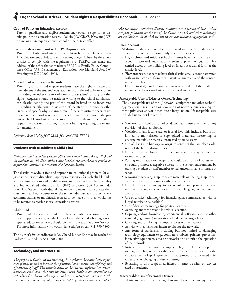## **Copy of Policy on Education Records**

Parents, guardians and eligible students may obtain a copy of the district policies on education records (Policies JO/IGBAB, JOA, and JOB) online or upon request at each school or the district office.

#### **Right to File a Complaint re FERPA Requirements**

Parents or eligible students have the right to file a complaint with the U.S. Department of Education concerning alleged failures by the school district to comply with the requirements of FERPA. The name and address of the office that administers FERPA is: Family Policy Compliance Office, U.S. Department of Education, 400 Maryland Ave. SW, Washington DC 20202–5901.

## **Amendment of Education Records**

Parents, guardians and eligible students have the right to request an amendment of the student's education records believed to be inaccurate, misleading, or otherwise in violation of the student's privacy or other rights. Requests should be made in writing to the school administrator, clearly identify the part of the record believed to be inaccurate, misleading or otherwise in violation of the student's privacy or other rights, and specify why it is inaccurate. If the administrator decides not to amend the record as requested, the administrator will notify the parent or eligible student of the decision, and advise them of their right to appeal the decision, including to have a hearing regarding the request for amendment.

*Reference: Board Policy JO/IGBAB, JOA and JOB, FERPA*

## Students with Disabilities; Child Find

*Both state and federal law (Section 504 of the Rehabilitation Act of 1973 and the Individuals with Disabilities Education Act) require schools to provide an appropriate education for students who have disabilities.* 

The district provides a free and appropriate educational program for eligible students with disabilities. Appropriate services for each eligible child, and accommodations and modifications, are based on his or her disability and Individualized Education Plan (IEP) or Section 504 Accommodation Plan. Students with disabilities, or their parents, may contact their classroom teacher, a counselor or the school administrator if they believe accommodations or modifications need to be made or if they would like to be referred to receive special education services.

#### **Child Find**

Parents who believe their child may have a disability or would benefit from support services, or who know of any other child who might need special education services, should contact Education Support Services. For more information visit www.4j.lane.edu/ess or call 541-790-7800.

The district's 504 coordinator is Dr. Cheryl Linder. She may be reached at linder@4j.lane.edu or 541-790-7800.

#### Technology and Internet Use

*The purpose of district-owned technology is to enhance the educational experience of students and to increase the operational and educational efficiency and effectiveness of staff. This includes access to the internet, information services, databases, email and other communication tools. Students are expected to use technology for educational purposes and in an appropriate manner. Teachers and other supervising adults are expected to guide and supervise students* 

*who use district technology. District guidelines are summarized below. More complete guidelines for the use of the district network and other technology are available on the district's website (www.4j.lane.edu/cis/appropriate\_use).* 

## **Email Accounts**

All district students are issued a district email account. All student email users are expected to use commonly accepted practices.

- **a. High school and middle school students** have their district email accounts activated automatically unless a parent or guardian has denied access at the building level or filled out a denial form at the district level.
- **b. Elementary students** may have their district email account activated with written consent from their parents or guardians and the consent of their teacher.
- **c.** Once activated, email accounts remain activated until the student is no longer a district student or the parent denies consent.

#### **Unacceptable Uses of District-Owned Technology**

The unacceptable use of the 4J network, equipment and other technology may result suspension or revocation of network privileges, equipment privileges and/or other disciplinary action. Unacceptable uses include but are not limited to:

- • Violation of school board policy, district administrative rules or any provision of this handbook.
- Violation of any local, state, or federal law. This includes but is not limited to transmission of copyrighted materials, threatening or obscene material, or material protected by trade secret.
- Use of district technology to organize activities that are clear violations of the law or district rules.
- • Use of profanity, obscenity, or other language that may be offensive to another user.
- Posting information or images that could be a form of harassment or could promote a negative culture in the school environment by causing a student or staff member to feel uncomfortable or unsafe at school.
- • Knowingly accessing inappropriate materials or sharing inappropriate materials or their sources with other students.
- • Use of district technology to access vulgar and plainly offensive, obscene, pornographic or sexually explicit language or material in any form.
- • Use of district technology for financial gain, commercial activity or illegal activity (e.g., hacking).
- Use of district technology for political activity.
- Accessing another person's individual account.
- • Copying and/or downloading commercial software, apps or other material (e.g., music) in violation of federal copyright laws.
- • Creating and/or placing a computer virus on the network.
- • Activity with a malicious intent to disrupt the network.
- Any form of vandalism, including but not limited to damaging technology equipment (e.g., computers, tablets, printers, projectors, interactive equipment, etc.) or networks or disrupting the operation of the network.
- • Installation of unapproved equipment (e.g. wireless access points, routers, switches, network cabling not provided or approved by the district's Technology Department), unapproved or unlicensed software/apps, or changing of district settings.
- • Bypassing of district-specified filtered internet websites on devices used by students.

## **Unacceptable Uses of Personal Devices**

Students and staff are encouraged to use district technology devices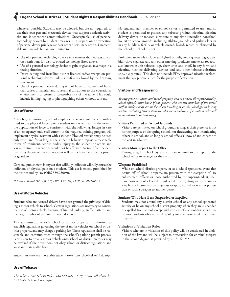whenever possible. Students may be allowed, but are not required, to use their own personal electronic devices that support academic activities and independent communications. Unacceptable use of personal technology devices by students may result in suspension or revocation of personal device privileges and/or other disciplinary action. Unacceptable uses include but are not limited to:

- • Use of a personal technology device in a manner that violates any of the restrictions for district-owned technology listed above.
- Use of a personal technology device to gain or give an advantage in a testing situation.
- • Downloading and installing district-licensed software/apps on personal technology devices unless specifically allowed by the licensing agreement.
- Use of a personal device during school hours or non-school hours that causes a material and substantial disruption to the educational environment, or creates a foreseeable risk of the same. This could include filming, taping or photographing others without consent.

## Use of Force

A teacher, administrator, school employee or school volunteer is authorized to use physical force upon a student only when, and to the extent, the application of force is consistent with the following. Except in case of an emergency, only staff current in the required training program will implement physical restraint with a student. Physical restraint may be used only when and for as long as the student's behavior imposes a reasonable threat of imminent, serious bodily injury to the student or others and less restrictive interventions would not be effective. Notice of an incident involving the use of physical restraint will be made to the student's parent or guardian.

Corporal punishment is any act that willfully inflicts or willfully causes the infliction of physical pain on a student. This act is strictly prohibited by the district and by law (ORS 339.250(9)).

*Reference: Board Policy JGAB, ORS 339.291, OAR 581-021-0553*

## Use of Motor Vehicles

Students who are licensed drivers have been granted the privilege of driving a motor vehicle to school. Certain regulations are necessary to control the use of motor vehicles because of limited parking, traffic patterns and the large number of pedestrians around schools.

The administrator of each school or district property is authorized to establish regulations governing the use of motor vehicles on school or district property, and may charge a parking fee. These regulations shall be reasonable and communicated through the school's parking permit process. Permission to drive a motor vehicle onto school or district premises may be revoked if the driver does not obey school or district regulations and local and state traffic laws.

Students may not transport other students to or from school-related field trips.

## Use of Tobacco

*The Tobacco Free Schools Rule (OAR 581-021-0110) requires all school district property to be tobacco-free.* 

No student, staff member or school visitor is permitted to use, and no student is permitted to possess, any tobacco product, nicotine, nicotine delivery device or tobacco substitute at any time (including nonschool hours) on school grounds, including athletic grounds and parking lots, or in any building, facility or vehicle owned, leased, rented or chartered by the school or school district.

Prohibited materials include any lighted or unlighted cigarette, cigar, pipe, bidi, clove cigarette and any other smoking products; smokeless tobacco, also known as spit tobacco, dip, chew, snus and snuff, in any form; and nicotine, nicotine delivering devices and any other tobacco substitute (e.g., e-cigarettes). This does not include FDA-approved nicotine replacement therapy products used for the purpose of cessation.

## Visitors and Trespassing

*To help protect students and school property, and to prevent disruptive activity, school officials must know if any persons who are not members of the school staff or student body are in the school building or on the school grounds. Any visitors, including former students, who are in violation of visitation rules will be considered to be trespassing.*

## **Visitors Permitted on School Grounds**

Visitors are permitted on school grounds as long as their presence is not for the purpose of disrupting school, nor threatening, nor intimidating others in school, and so long as school officials know of and consent to the visit in advance.

## **Visitors Must Report to the Office**

During a regular school day all visitors are required to first report to the school office to arrange for their visit.

## **Weapons Prohibited**

While on school district property or at a school-sponsored event that occurs off of school property, no person, with the exception of law enforcement officers or those authorized by the superintendent, shall have possession of a loaded or unloaded firearm, dangerous weapon, or a replica or facsimile of a dangerous weapon, nor sell or transfer possession of such a weapon to another person.

## **Students Who Have Been Suspended or Expelled**

Students may not attend any district school or any school-sponsored activity or be on any school district property when they are suspended or expelled from school, except with consent of a school district administrator. Students who violate this policy may be prosecuted for criminal trespass.

## **Violations of Visitation Rules**

Visitors who are in violation of this policy will be considered in violation of the law and will be subject to prosecution for criminal trespass in the second degree, as provided by ORS 164.245.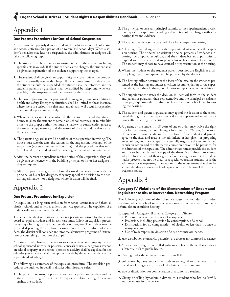# Appendix 1

## Due Process Procedures for Out-of-School Suspension

A suspension temporarily denies a student the right to attend school, classes and school activities for a period of up to ten (10) school days. When a student's behavior may lead to a suspension, the administrator or designee will take the following steps.

- **1.** The student shall be given oral or written notice of the charges, including specific acts involved. If the student denies the charges, the student shall be given an explanation of the evidence supporting the charges.
- **2.** The student shall be given an opportunity to explain his or her conduct and to informally contest the charge. If the administrator then determines the student should be suspended, the student shall be informed and the student's parents or guardians shall be notified by telephone, whenever possible, of the suspension and the reasons for the action.
- **3.** The two steps above may be postponed in emergency situations relating to health and safety. Emergency situations shall be limited to those instances where there is a serious risk that substantial harm will occur if suspension does not take place immediately.
- **4.** When parents cannot be contacted, the decision to send the student home, to allow the student to remain on school premises, or to refer him or her to the proper authorities must be made with consideration given to the student's age, maturity and the nature of the misconduct that caused the suspension.
- **5.** The parents or guardians will be notified of the suspension in writing. The notice must state the date, the reasons for the suspension, the length of the suspension (not to exceed ten school days) and the procedures that must be followed by the student and parents or guardian to gain reinstatement.
- **6.** After the parents or guardians receive notice of the suspension, they will be given a conference with the building principal or his or her designee if they so request.
- **7.** After the parents or guardians have discussed the suspension with the principal or his or her designee, they may appeal the decision to the deputy superintendent or a designee, whose decision will be final.

# Appendix 2

## Due Process Procedures for Expulsion

An expulsion is a long-term exclusion from school attendance and from all district schools and activities unless otherwise specified. The expulsion of a student will not exceed one calendar year.

The superintendent or designee is the only person authorized by the school board to expel a student and in each case must follow an expulsion process including a hearing by the superintendent or designee. The student may be suspended pending the expulsion hearing. Prior to the expulsion of a student, the district will consider and propose alternative programs of instruction or counseling or both for the pupil.

Any student who brings a dangerous weapon onto school property or to a school-sponsored activity, or possesses, conceals or uses a dangerous weapon on school property or at a school-sponsored activity, shall be expelled for one calendar year unless a specific exception is made by the superintendent or the superintendent's designee.

The following is a summary of the expulsion procedures. The expulsion procedures are outlined in detail in district administrative rules.

**1.** The principal or assistant principal notifies the parent or guardian and the student in writing of the intent to request expulsion, citing the charges against the student.

- **2.** The principal or assistant principal submits to the superintendent a written request for expulsion including a description of the charges with supporting facts and evidence.
- **3.** The superintendent sets a date and place for an expulsion hearing.
- **4.** A hearing officer designated by the superintendent conducts the expulsion hearing. The principal or assistant principal presents all evidence supporting the proposed expulsion, and the student has an opportunity to respond to the evidence and to present his or her version of the events. The student may choose to have counsel or representation at the hearing.
- **5.** Where the student or the student's parent does not use English as a primary language, an interpreter will be provided by the district.
- **6.** The hearing officer determines the facts of the case on the evidence presented at the hearing and makes a written recommendation to the superintendent, including findings, conclusions and specific recommendations.
- **7.** The superintendent states the decision in identical form to the student and parent or guardian, their representative and the principal or assistant principal, requesting the expulsion no later than three school days following the hearing.
- **8.** The student and parent or guardian may appeal the decision to the school board through a written request directed to the superintendent within 72 hours after receiving the decision.
- **9.** A parent, or the student if 18 years of age or older, may waive the right to a formal hearing by completing a form entitled "Waiver, Stipulation of Facts and Recommendation for Expulsion" if the student and parents agree to the facts and reasons the administrator has given for proposing an expulsion, and they accept or successfully negotiate the recommended expulsion action and the alternative education option to be provided for the duration of the expulsion. The administrator must provide the student and his or her family with a copy of the district's expulsion procedures, which informs them of their rights before they sign a waiver. This alternative process may not be used for a special education student, or if the administrator is requesting an exception to the requirement that there be a one-calendar-year out-of-school expulsion for a violation of the district's weapons policy.

# Appendix 3

## Category IV Violations of the Memorandum of Understanding Substance Abuse Intervention/ Networking Program

The following violations of the substance abuse memorandum of understanding while at school or any school-sponsored activity will result in a referral for an expulsion hearing.

- **1.** Repeat of a Category III offense. Category III Offenses:
	- Possession of less than 1 ounce of marijuana;
	- • Possession, including possession by consumption, of alcohol;
	- Distribution, for no compensation, of alcohol or less than 1 ounce of marijuana; and
	- • Use of toxic vapors, in violation of city or county ordinance.
- **2.** Sale, distribution or unlawful possession of a drug or any controlled substance.
- **3.** Any alcohol, drug or controlled substance related offense that creates a substantial risk to public health.
- **4.** Driving under the influence of intoxicants (DUII).
- **5.** Solicitation by a student or other students to buy, sell or otherwise distribute alcohol, drugs or any controlled substance in any amount.
- **6.** Sale or distribution for compensation of alcohol to a student.
- **7.** Giving or selling hypodermic devices to a student who has no lawful/ authorized use for the device.